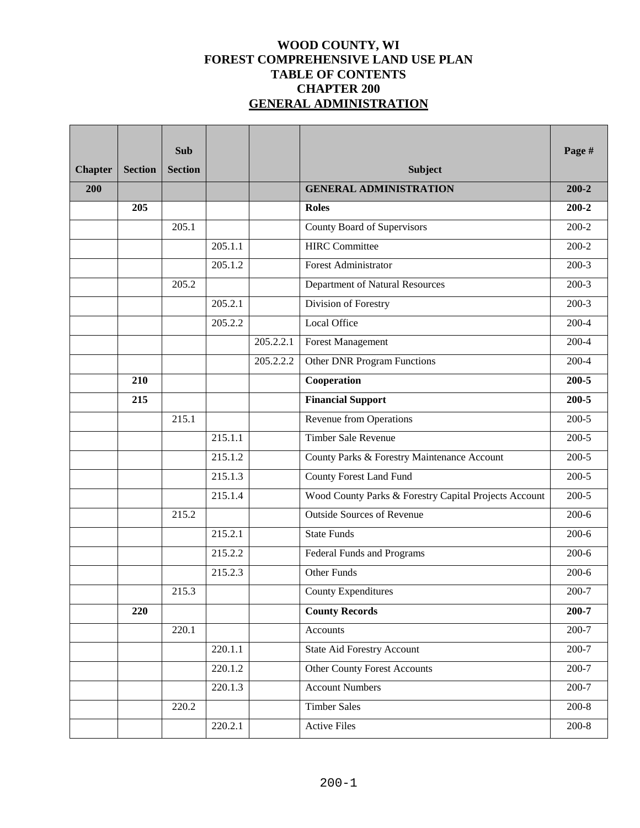## **WOOD COUNTY, WI FOREST COMPREHENSIVE LAND USE PLAN TABLE OF CONTENTS CHAPTER 200 GENERAL ADMINISTRATION**

| <b>Chapter</b> | <b>Section</b> | <b>Sub</b><br><b>Section</b> |         |           | <b>Subject</b>                                        | Page #             |
|----------------|----------------|------------------------------|---------|-----------|-------------------------------------------------------|--------------------|
| 200            |                |                              |         |           | <b>GENERAL ADMINISTRATION</b>                         | $200 - 2$          |
|                | 205            |                              |         |           | <b>Roles</b>                                          | $200 - 2$          |
|                |                | 205.1                        |         |           | County Board of Supervisors                           | $200-2$            |
|                |                |                              | 205.1.1 |           | <b>HIRC</b> Committee                                 | $\overline{200-2}$ |
|                |                |                              | 205.1.2 |           | <b>Forest Administrator</b>                           | $200-3$            |
|                |                | 205.2                        |         |           | Department of Natural Resources                       | $200-3$            |
|                |                |                              | 205.2.1 |           | Division of Forestry                                  | $200-3$            |
|                |                |                              | 205.2.2 |           | <b>Local Office</b>                                   | $200 - 4$          |
|                |                |                              |         | 205.2.2.1 | <b>Forest Management</b>                              | $200 - 4$          |
|                |                |                              |         | 205.2.2.2 | <b>Other DNR Program Functions</b>                    | $200 - 4$          |
|                | 210            |                              |         |           | Cooperation                                           | $200 - 5$          |
|                | 215            |                              |         |           | <b>Financial Support</b>                              | $200 - 5$          |
|                |                | 215.1                        |         |           | Revenue from Operations                               | $200-5$            |
|                |                |                              | 215.1.1 |           | Timber Sale Revenue                                   | $200 - 5$          |
|                |                |                              | 215.1.2 |           | County Parks & Forestry Maintenance Account           | $200-5$            |
|                |                |                              | 215.1.3 |           | County Forest Land Fund                               | $200-5$            |
|                |                |                              | 215.1.4 |           | Wood County Parks & Forestry Capital Projects Account | $200-5$            |
|                |                | 215.2                        |         |           | <b>Outside Sources of Revenue</b>                     | $200-6$            |
|                |                |                              | 215.2.1 |           | <b>State Funds</b>                                    | $200-6$            |
|                |                |                              | 215.2.2 |           | Federal Funds and Programs                            | $200 - 6$          |
|                |                |                              | 215.2.3 |           | Other Funds                                           | $200 - 6$          |
|                |                | 215.3                        |         |           | <b>County Expenditures</b>                            | $200 - 7$          |
|                | 220            |                              |         |           | <b>County Records</b>                                 | 200-7              |
|                |                | 220.1                        |         |           | Accounts                                              | $200 - 7$          |
|                |                |                              | 220.1.1 |           | <b>State Aid Forestry Account</b>                     | 200-7              |
|                |                |                              | 220.1.2 |           | <b>Other County Forest Accounts</b>                   | $200 - 7$          |
|                |                |                              | 220.1.3 |           | <b>Account Numbers</b>                                | 200-7              |
|                |                | 220.2                        |         |           | <b>Timber Sales</b>                                   | $200 - 8$          |
|                |                |                              | 220.2.1 |           | <b>Active Files</b>                                   | $200 - 8$          |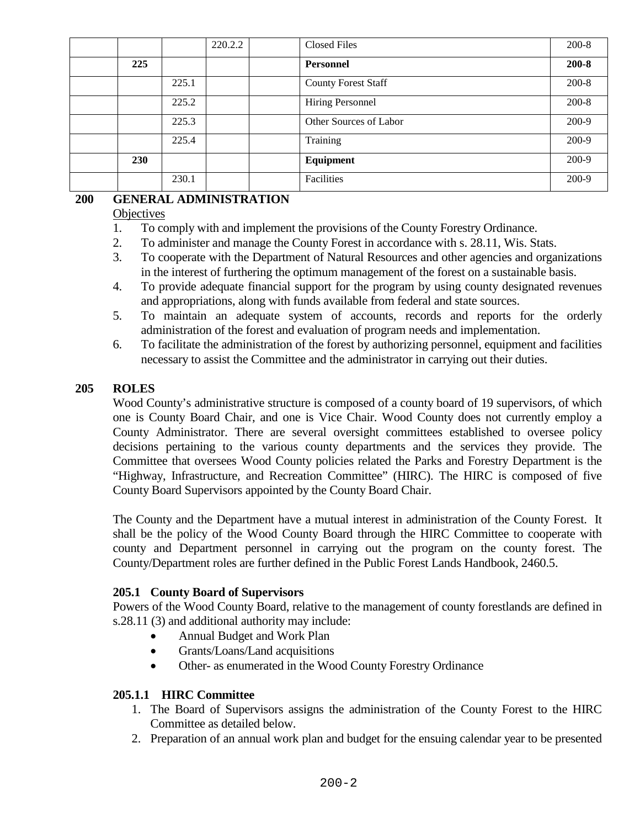|            |       | 220.2.2 | <b>Closed Files</b>        | $200 - 8$ |
|------------|-------|---------|----------------------------|-----------|
| 225        |       |         | Personnel                  | $200 - 8$ |
|            | 225.1 |         | <b>County Forest Staff</b> | $200 - 8$ |
|            | 225.2 |         | Hiring Personnel           | $200 - 8$ |
|            | 225.3 |         | Other Sources of Labor     | 200-9     |
|            | 225.4 |         | Training                   | 200-9     |
| <b>230</b> |       |         | Equipment                  | 200-9     |
|            | 230.1 |         | Facilities                 | 200-9     |

## **200 GENERAL ADMINISTRATION**

### **Objectives**

- 1. To comply with and implement the provisions of the County Forestry Ordinance.
- 2. To administer and manage the County Forest in accordance with s. 28.11, Wis. Stats.
- 3. To cooperate with the Department of Natural Resources and other agencies and organizations in the interest of furthering the optimum management of the forest on a sustainable basis.
- 4. To provide adequate financial support for the program by using county designated revenues and appropriations, along with funds available from federal and state sources.
- 5. To maintain an adequate system of accounts, records and reports for the orderly administration of the forest and evaluation of program needs and implementation.
- 6. To facilitate the administration of the forest by authorizing personnel, equipment and facilities necessary to assist the Committee and the administrator in carrying out their duties.

## **205 ROLES**

Wood County's administrative structure is composed of a county board of 19 supervisors, of which one is County Board Chair, and one is Vice Chair. Wood County does not currently employ a County Administrator. There are several oversight committees established to oversee policy decisions pertaining to the various county departments and the services they provide. The Committee that oversees Wood County policies related the Parks and Forestry Department is the "Highway, Infrastructure, and Recreation Committee" (HIRC). The HIRC is composed of five County Board Supervisors appointed by the County Board Chair.

The County and the Department have a mutual interest in administration of the County Forest. It shall be the policy of the Wood County Board through the HIRC Committee to cooperate with county and Department personnel in carrying out the program on the county forest. The County/Department roles are further defined in the Public Forest Lands Handbook, 2460.5.

## **205.1 County Board of Supervisors**

Powers of the Wood County Board, relative to the management of county forestlands are defined in s.28.11 (3) and additional authority may include:

- Annual Budget and Work Plan
- Grants/Loans/Land acquisitions
- Other- as enumerated in the Wood County Forestry Ordinance

## **205.1.1 HIRC Committee**

- 1. The Board of Supervisors assigns the administration of the County Forest to the HIRC Committee as detailed below.
- 2. Preparation of an annual work plan and budget for the ensuing calendar year to be presented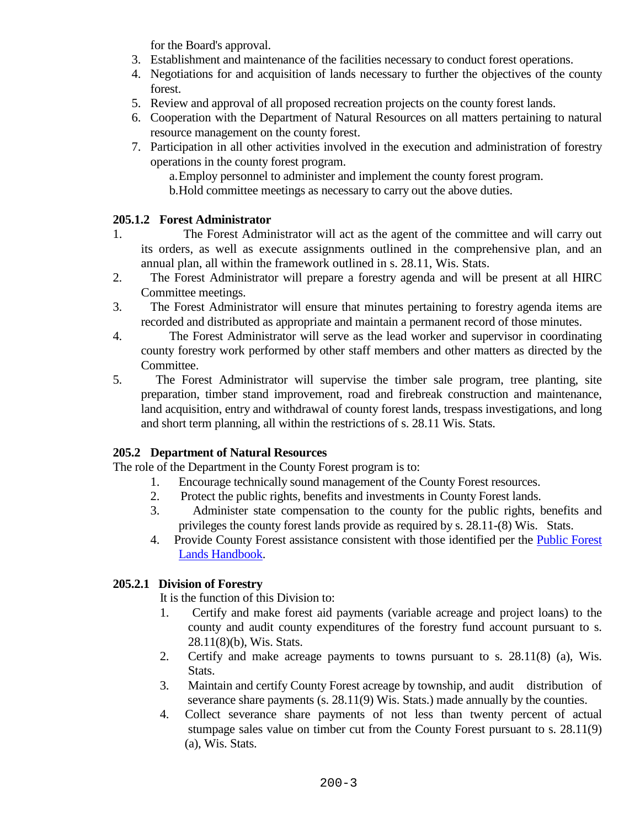for the Board's approval.

- 3. Establishment and maintenance of the facilities necessary to conduct forest operations.
- 4. Negotiations for and acquisition of lands necessary to further the objectives of the county forest.
- 5. Review and approval of all proposed recreation projects on the county forest lands.
- 6. Cooperation with the Department of Natural Resources on all matters pertaining to natural resource management on the county forest.
- 7. Participation in all other activities involved in the execution and administration of forestry operations in the county forest program.
	- a.Employ personnel to administer and implement the county forest program.
	- b.Hold committee meetings as necessary to carry out the above duties.

### **205.1.2 Forest Administrator**

- 1. The Forest Administrator will act as the agent of the committee and will carry out its orders, as well as execute assignments outlined in the comprehensive plan, and an annual plan, all within the framework outlined in s. 28.11, Wis. Stats.
- 2. The Forest Administrator will prepare a forestry agenda and will be present at all HIRC Committee meetings.
- 3. The Forest Administrator will ensure that minutes pertaining to forestry agenda items are recorded and distributed as appropriate and maintain a permanent record of those minutes.
- 4. The Forest Administrator will serve as the lead worker and supervisor in coordinating county forestry work performed by other staff members and other matters as directed by the Committee.
- 5. The Forest Administrator will supervise the timber sale program, tree planting, site preparation, timber stand improvement, road and firebreak construction and maintenance, land acquisition, entry and withdrawal of county forest lands, trespass investigations, and long and short term planning, all within the restrictions of s. 28.11 Wis. Stats.

## **205.2 Department of Natural Resources**

The role of the Department in the County Forest program is to:

- 1. Encourage technically sound management of the County Forest resources.
- 2. Protect the public rights, benefits and investments in County Forest lands.
- 3. Administer state compensation to the county for the public rights, benefits and privileges the county forest lands provide as required by s. 28.11-(8) Wis. Stats.
- 4. Provide County Forest assistance consistent with those identified per the [Public Forest](https://dnr.wi.gov/topic/ForestManagement/documents/24605.pdf)  [Lands Handbook.](https://dnr.wi.gov/topic/ForestManagement/documents/24605.pdf)

## **205.2.1 Division of Forestry**

It is the function of this Division to:

- 1. Certify and make forest aid payments (variable acreage and project loans) to the county and audit county expenditures of the forestry fund account pursuant to s. 28.11(8)(b), Wis. Stats.
- 2. Certify and make acreage payments to towns pursuant to s. 28.11(8) (a), Wis. Stats.
- 3. Maintain and certify County Forest acreage by township, and audit distribution of severance share payments (s. 28.11(9) Wis. Stats.) made annually by the counties.
- 4. Collect severance share payments of not less than twenty percent of actual stumpage sales value on timber cut from the County Forest pursuant to s. 28.11(9) (a), Wis. Stats.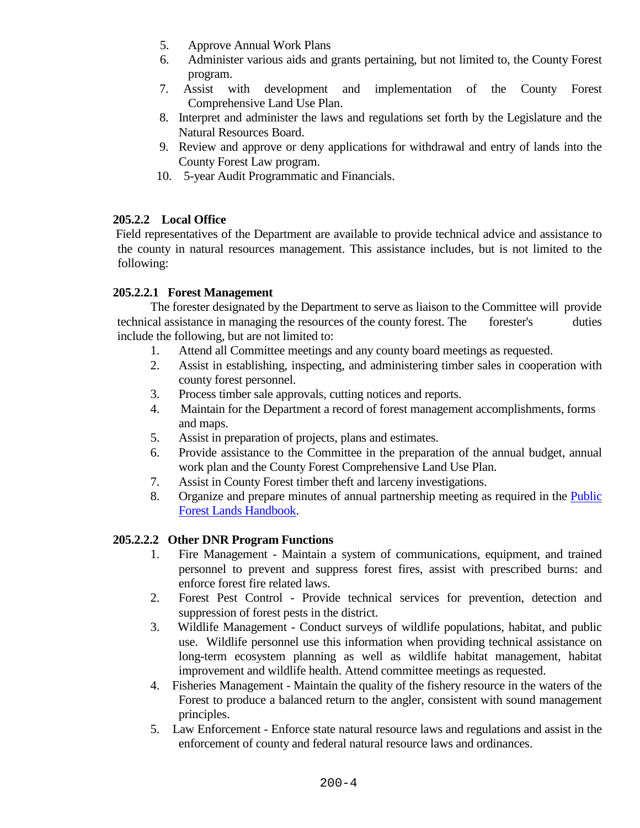- 5. Approve Annual Work Plans
- 6. Administer various aids and grants pertaining, but not limited to, the County Forest program.
- 7. Assist with development and implementation of the County Forest Comprehensive Land Use Plan.
- 8. Interpret and administer the laws and regulations set forth by the Legislature and the Natural Resources Board.
- 9. Review and approve or deny applications for withdrawal and entry of lands into the County Forest Law program.
- 10. 5-year Audit Programmatic and Financials.

## **205.2.2 Local Office**

Field representatives of the Department are available to provide technical advice and assistance to the county in natural resources management. This assistance includes, but is not limited to the following:

### **205.2.2.1 Forest Management**

The forester designated by the Department to serve as liaison to the Committee will provide technical assistance in managing the resources of the county forest. The forester's duties include the following, but are not limited to:

- 1. Attend all Committee meetings and any county board meetings as requested.
- 2. Assist in establishing, inspecting, and administering timber sales in cooperation with county forest personnel.
- 3. Process timber sale approvals, cutting notices and reports.
- 4. Maintain for the Department a record of forest management accomplishments, forms and maps.
- 5. Assist in preparation of projects, plans and estimates.
- 6. Provide assistance to the Committee in the preparation of the annual budget, annual work plan and the County Forest Comprehensive Land Use Plan.
- 7. Assist in County Forest timber theft and larceny investigations.
- 8. Organize and prepare minutes of annual partnership meeting as required in the [Public](https://dnr.wi.gov/topic/ForestManagement/documents/24605.pdf)  [Forest Lands Handbook.](https://dnr.wi.gov/topic/ForestManagement/documents/24605.pdf)

## **205.2.2.2 Other DNR Program Functions**

- 1. Fire Management Maintain a system of communications, equipment, and trained personnel to prevent and suppress forest fires, assist with prescribed burns: and enforce forest fire related laws.
- 2. Forest Pest Control Provide technical services for prevention, detection and suppression of forest pests in the district.
- 3. Wildlife Management Conduct surveys of wildlife populations, habitat, and public use. Wildlife personnel use this information when providing technical assistance on long-term ecosystem planning as well as wildlife habitat management, habitat improvement and wildlife health. Attend committee meetings as requested.
- 4. Fisheries Management Maintain the quality of the fishery resource in the waters of the Forest to produce a balanced return to the angler, consistent with sound management principles.
- 5. Law Enforcement Enforce state natural resource laws and regulations and assist in the enforcement of county and federal natural resource laws and ordinances.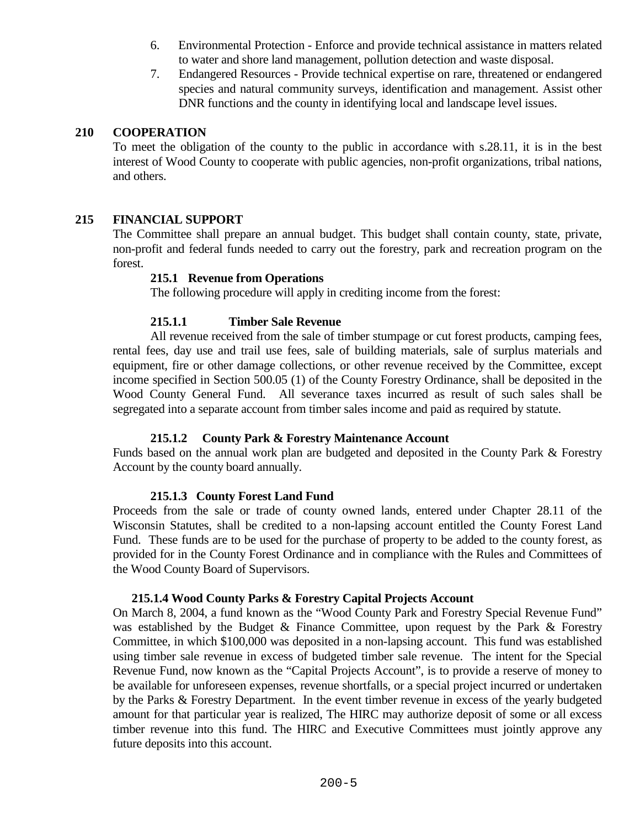- 6. Environmental Protection Enforce and provide technical assistance in matters related to water and shore land management, pollution detection and waste disposal.
- 7. Endangered Resources Provide technical expertise on rare, threatened or endangered species and natural community surveys, identification and management. Assist other DNR functions and the county in identifying local and landscape level issues.

#### **210 COOPERATION**

To meet the obligation of the county to the public in accordance with s.28.11, it is in the best interest of Wood County to cooperate with public agencies, non-profit organizations, tribal nations, and others.

### **215 FINANCIAL SUPPORT**

The Committee shall prepare an annual budget. This budget shall contain county, state, private, non-profit and federal funds needed to carry out the forestry, park and recreation program on the forest.

#### **215.1 Revenue from Operations**

The following procedure will apply in crediting income from the forest:

### **215.1.1 Timber Sale Revenue**

All revenue received from the sale of timber stumpage or cut forest products, camping fees, rental fees, day use and trail use fees, sale of building materials, sale of surplus materials and equipment, fire or other damage collections, or other revenue received by the Committee, except income specified in Section 500.05 (1) of the County Forestry Ordinance, shall be deposited in the Wood County General Fund. All severance taxes incurred as result of such sales shall be segregated into a separate account from timber sales income and paid as required by statute.

## **215.1.2 County Park & Forestry Maintenance Account**

Funds based on the annual work plan are budgeted and deposited in the County Park & Forestry Account by the county board annually.

#### **215.1.3 County Forest Land Fund**

Proceeds from the sale or trade of county owned lands, entered under Chapter 28.11 of the Wisconsin Statutes, shall be credited to a non-lapsing account entitled the County Forest Land Fund. These funds are to be used for the purchase of property to be added to the county forest, as provided for in the County Forest Ordinance and in compliance with the Rules and Committees of the Wood County Board of Supervisors.

#### **215.1.4 Wood County Parks & Forestry Capital Projects Account**

On March 8, 2004, a fund known as the "Wood County Park and Forestry Special Revenue Fund" was established by the Budget  $\&$  Finance Committee, upon request by the Park  $\&$  Forestry Committee, in which \$100,000 was deposited in a non-lapsing account. This fund was established using timber sale revenue in excess of budgeted timber sale revenue. The intent for the Special Revenue Fund, now known as the "Capital Projects Account", is to provide a reserve of money to be available for unforeseen expenses, revenue shortfalls, or a special project incurred or undertaken by the Parks & Forestry Department. In the event timber revenue in excess of the yearly budgeted amount for that particular year is realized, The HIRC may authorize deposit of some or all excess timber revenue into this fund. The HIRC and Executive Committees must jointly approve any future deposits into this account.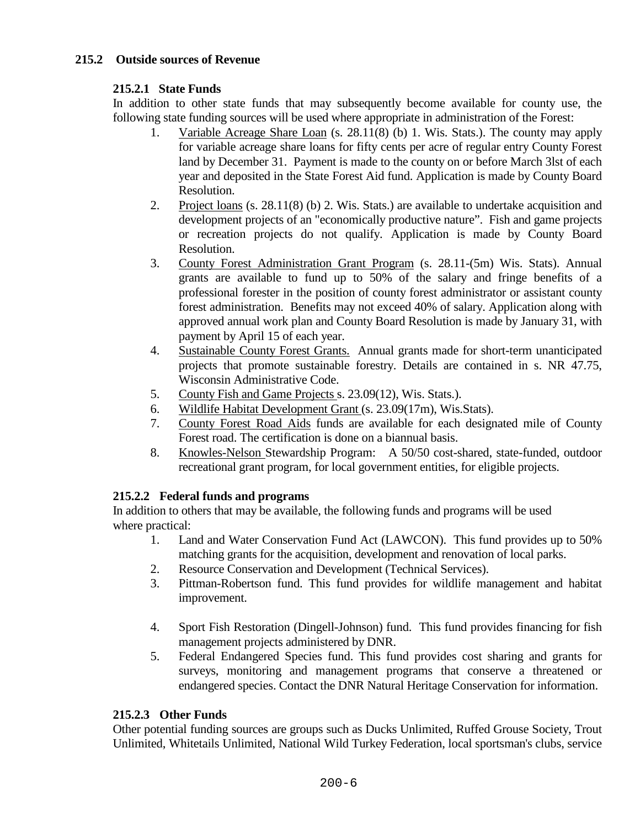# **215.2 Outside sources of Revenue**

## **215.2.1 State Funds**

In addition to other state funds that may subsequently become available for county use, the following state funding sources will be used where appropriate in administration of the Forest:

- 1. Variable Acreage Share Loan (s. 28.11(8) (b) 1. Wis. Stats.). The county may apply for variable acreage share loans for fifty cents per acre of regular entry County Forest land by December 31. Payment is made to the county on or before March 3lst of each year and deposited in the State Forest Aid fund. Application is made by County Board Resolution.
- 2. Project loans (s. 28.11(8) (b) 2. Wis. Stats.) are available to undertake acquisition and development projects of an "economically productive nature". Fish and game projects or recreation projects do not qualify. Application is made by County Board Resolution.
- 3. County Forest Administration Grant Program (s. 28.11-(5m) Wis. Stats). Annual grants are available to fund up to 50% of the salary and fringe benefits of a professional forester in the position of county forest administrator or assistant county forest administration. Benefits may not exceed 40% of salary. Application along with approved annual work plan and County Board Resolution is made by January 31, with payment by April 15 of each year.
- 4. Sustainable County Forest Grants. Annual grants made for short-term unanticipated projects that promote sustainable forestry. Details are contained in s. NR 47.75, Wisconsin Administrative Code.
- 5. County Fish and Game Projects s. 23.09(12), Wis. Stats.).
- 6. Wildlife Habitat Development Grant (s. 23.09(17m), Wis.Stats).
- 7. County Forest Road Aids funds are available for each designated mile of County Forest road. The certification is done on a biannual basis.
- 8. Knowles-Nelson Stewardship Program: A 50/50 cost-shared, state-funded, outdoor recreational grant program, for local government entities, for eligible projects.

## **215.2.2 Federal funds and programs**

In addition to others that may be available, the following funds and programs will be used where practical:

- 1. Land and Water Conservation Fund Act (LAWCON). This fund provides up to 50% matching grants for the acquisition, development and renovation of local parks.
- 2. Resource Conservation and Development (Technical Services).
- 3. Pittman-Robertson fund. This fund provides for wildlife management and habitat improvement.
- 4. Sport Fish Restoration (Dingell-Johnson) fund. This fund provides financing for fish management projects administered by DNR.
- 5. Federal Endangered Species fund. This fund provides cost sharing and grants for surveys, monitoring and management programs that conserve a threatened or endangered species. Contact the DNR Natural Heritage Conservation for information.

## **215.2.3 Other Funds**

Other potential funding sources are groups such as Ducks Unlimited, Ruffed Grouse Society, Trout Unlimited, Whitetails Unlimited, National Wild Turkey Federation, local sportsman's clubs, service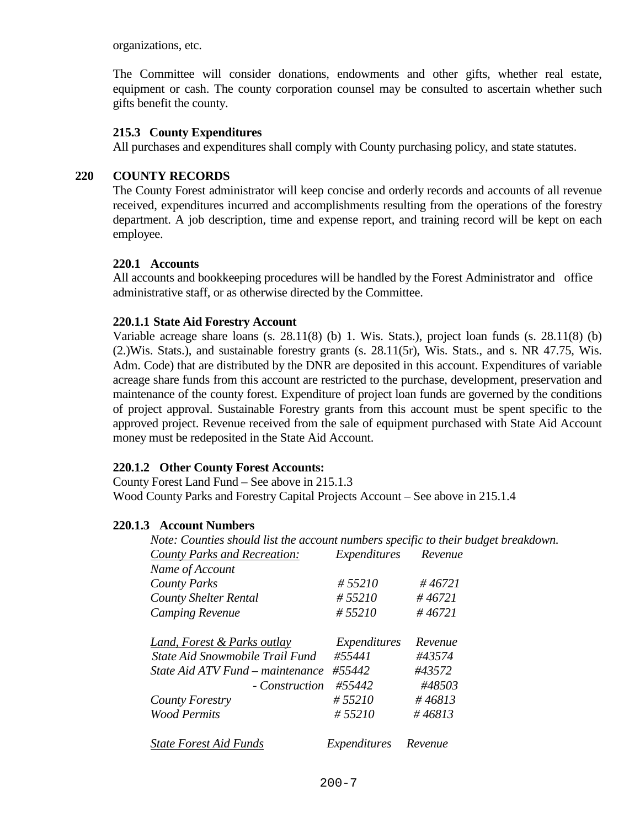organizations, etc.

The Committee will consider donations, endowments and other gifts, whether real estate, equipment or cash. The county corporation counsel may be consulted to ascertain whether such gifts benefit the county.

#### **215.3 County Expenditures**

All purchases and expenditures shall comply with County purchasing policy, and state statutes.

#### **220 COUNTY RECORDS**

The County Forest administrator will keep concise and orderly records and accounts of all revenue received, expenditures incurred and accomplishments resulting from the operations of the forestry department. A job description, time and expense report, and training record will be kept on each employee.

#### **220.1 Accounts**

All accounts and bookkeeping procedures will be handled by the Forest Administrator and office administrative staff, or as otherwise directed by the Committee.

#### **220.1.1 State Aid Forestry Account**

Variable acreage share loans (s. 28.11(8) (b) 1. Wis. Stats.), project loan funds (s. 28.11(8) (b) (2.)Wis. Stats.), and sustainable forestry grants (s. 28.11(5r), Wis. Stats., and s. NR 47.75, Wis. Adm. Code) that are distributed by the DNR are deposited in this account. Expenditures of variable acreage share funds from this account are restricted to the purchase, development, preservation and maintenance of the county forest. Expenditure of project loan funds are governed by the conditions of project approval. Sustainable Forestry grants from this account must be spent specific to the approved project. Revenue received from the sale of equipment purchased with State Aid Account money must be redeposited in the State Aid Account.

## **220.1.2 Other County Forest Accounts:**

County Forest Land Fund – See above in 215.1.3 Wood County Parks and Forestry Capital Projects Account – See above in 215.1.4

#### **220.1.3 Account Numbers**

| Note: Counties should list the account numbers specific to their budget breakdown. |              |         |
|------------------------------------------------------------------------------------|--------------|---------|
| <b>County Parks and Recreation:</b>                                                | Expenditures | Revenue |
| Name of Account                                                                    |              |         |
| <b>County Parks</b>                                                                | #55210       | #46721  |
| <b>County Shelter Rental</b>                                                       | # 55210      | #46721  |
| <b>Camping Revenue</b>                                                             | #55210       | #46721  |
| Land, Forest & Parks outlay                                                        | Expenditures | Revenue |
| State Aid Snowmobile Trail Fund                                                    | #55441       | #43574  |
| State Aid ATV Fund – maintenance                                                   | #55442       | #43572  |
| - Construction                                                                     | #55442       | #48503  |
| County Forestry                                                                    | # 55210      | #46813  |
| <b>Wood Permits</b>                                                                | #55210       | #46813  |
| <b>State Forest Aid Funds</b>                                                      | Expenditures | Revenue |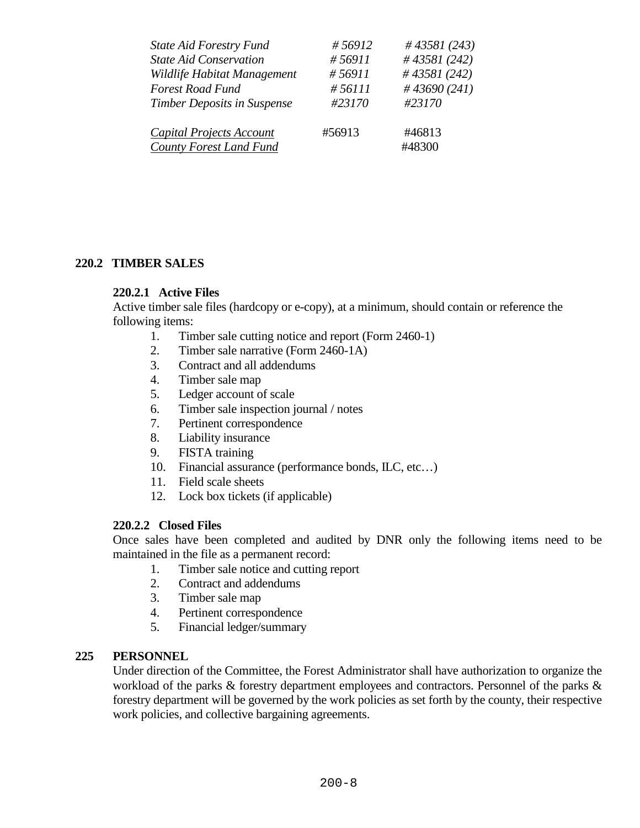| <b>State Aid Forestry Fund</b>  | #56912  | #43581 (243)     |
|---------------------------------|---------|------------------|
| <b>State Aid Conservation</b>   | #56911  | #43581 $(242)$   |
| Wildlife Habitat Management     | #56911  | $\#$ 43581 (242) |
| <b>Forest Road Fund</b>         | # 56111 | #43690 $(241)$   |
| Timber Deposits in Suspense     | #23170  | #23170           |
| <b>Capital Projects Account</b> | #56913  | #46813           |
| County Forest Land Fund         |         | #48300           |

### **220.2 TIMBER SALES**

### **220.2.1 Active Files**

Active timber sale files (hardcopy or e-copy), at a minimum, should contain or reference the following items:

- 1. Timber sale cutting notice and report (Form 2460-1)
- 2. Timber sale narrative (Form 2460-1A)
- 3. Contract and all addendums
- 4. Timber sale map
- 5. Ledger account of scale
- 6. Timber sale inspection journal / notes
- 7. Pertinent correspondence
- 8. Liability insurance
- 9. FISTA training
- 10. Financial assurance (performance bonds, ILC, etc...)
- 11. Field scale sheets
- 12. Lock box tickets (if applicable)

#### **220.2.2 Closed Files**

Once sales have been completed and audited by DNR only the following items need to be maintained in the file as a permanent record:

- 1. Timber sale notice and cutting report
- 2. Contract and addendums
- 3. Timber sale map
- 4. Pertinent correspondence
- 5. Financial ledger/summary

#### **225 PERSONNEL**

Under direction of the Committee, the Forest Administrator shall have authorization to organize the workload of the parks & forestry department employees and contractors. Personnel of the parks & forestry department will be governed by the work policies as set forth by the county, their respective work policies, and collective bargaining agreements.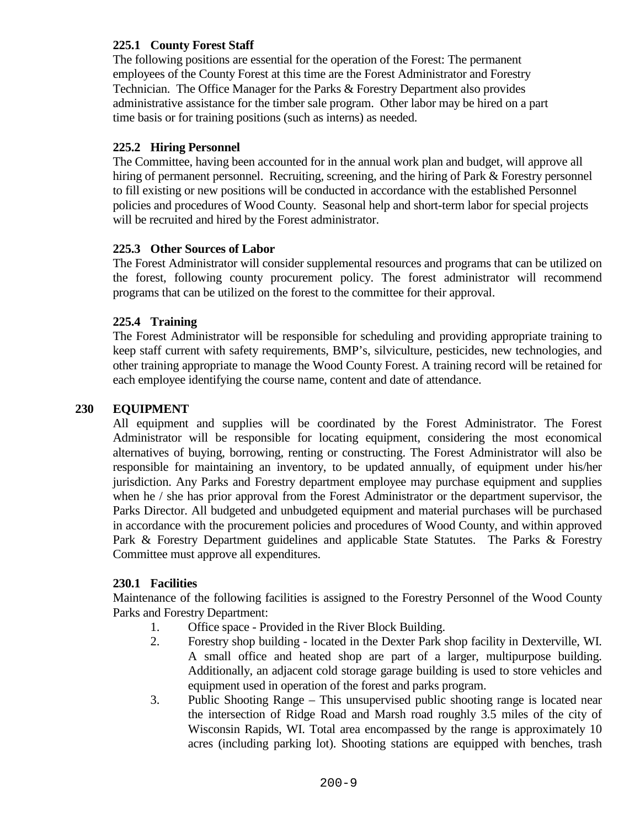# **225.1 County Forest Staff**

The following positions are essential for the operation of the Forest: The permanent employees of the County Forest at this time are the Forest Administrator and Forestry Technician. The Office Manager for the Parks & Forestry Department also provides administrative assistance for the timber sale program. Other labor may be hired on a part time basis or for training positions (such as interns) as needed.

# **225.2 Hiring Personnel**

The Committee, having been accounted for in the annual work plan and budget, will approve all hiring of permanent personnel. Recruiting, screening, and the hiring of Park & Forestry personnel to fill existing or new positions will be conducted in accordance with the established Personnel policies and procedures of Wood County. Seasonal help and short-term labor for special projects will be recruited and hired by the Forest administrator.

## **225.3 Other Sources of Labor**

The Forest Administrator will consider supplemental resources and programs that can be utilized on the forest, following county procurement policy. The forest administrator will recommend programs that can be utilized on the forest to the committee for their approval.

# **225.4 Training**

The Forest Administrator will be responsible for scheduling and providing appropriate training to keep staff current with safety requirements, BMP's, silviculture, pesticides, new technologies, and other training appropriate to manage the Wood County Forest. A training record will be retained for each employee identifying the course name, content and date of attendance.

## **230 EQUIPMENT**

All equipment and supplies will be coordinated by the Forest Administrator. The Forest Administrator will be responsible for locating equipment, considering the most economical alternatives of buying, borrowing, renting or constructing. The Forest Administrator will also be responsible for maintaining an inventory, to be updated annually, of equipment under his/her jurisdiction. Any Parks and Forestry department employee may purchase equipment and supplies when he / she has prior approval from the Forest Administrator or the department supervisor, the Parks Director. All budgeted and unbudgeted equipment and material purchases will be purchased in accordance with the procurement policies and procedures of Wood County, and within approved Park & Forestry Department guidelines and applicable State Statutes. The Parks & Forestry Committee must approve all expenditures.

## **230.1 Facilities**

Maintenance of the following facilities is assigned to the Forestry Personnel of the Wood County Parks and Forestry Department:

- 1. Office space Provided in the River Block Building.
- 2. Forestry shop building located in the Dexter Park shop facility in Dexterville, WI. A small office and heated shop are part of a larger, multipurpose building. Additionally, an adjacent cold storage garage building is used to store vehicles and equipment used in operation of the forest and parks program.
- 3. Public Shooting Range This unsupervised public shooting range is located near the intersection of Ridge Road and Marsh road roughly 3.5 miles of the city of Wisconsin Rapids, WI. Total area encompassed by the range is approximately 10 acres (including parking lot). Shooting stations are equipped with benches, trash